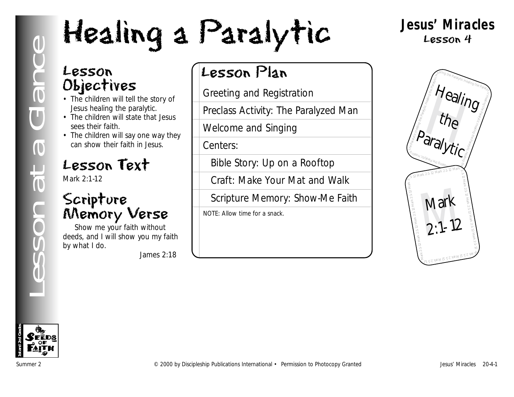# Lesson at a Glance Healing Be paralytic.<br>
The children will say one way they<br>
Consider that be stored in a street of the story of<br>
The children will say one way they<br>
Conce and Singing<br>
Concess Activity: The Paralyze<br>
Cons

# **Jesus' Miracles** Lesson 4

# Lesson Objectives

- The children will tell the story of Jesus healing the paralytic.
- The children will state that Jesus sees their faith.
- The children will say one way they can show their faith in Jesus.

# Lesson Text

Mark 2:1-12

# Scripture Memory Verse

Show me your faith without deeds, and I will show you my faith by what I do.

*James 2:18*

# Lesson Plan

Greeting and Registration

Preclass Activity: The Paralyzed Man

Welcome and Singing

Centers:

Bible Story: Up on a Rooftop

Craft: Make Your Mat and Walk

Scripture Memory: Show-Me Faith

NOTE: Allow time for a snack.



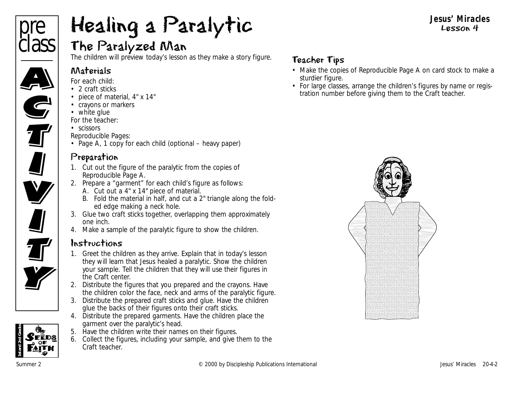

# The Paralyzed Man

The children will preview today's lesson as they make a story figure.

#### Materials

*For each child:*

- 2 craft sticks
- piece of material, 4" x 14"
- crayons or markers
- white glue

*For the teacher:*

• scissors

*Reproducible Pages:*

• Page A, 1 copy for each child (optional – heavy paper)

# Preparation

- 1. Cut out the figure of the paralytic from the copies of Reproducible Page A.
- 2. Prepare a "garment" for each child's figure as follows:
	- A. Cut out a 4" x 14" piece of material.
	- B. Fold the material in half, and cut a 2" triangle along the folded edge making a neck hole.
- 3. Glue two craft sticks together, overlapping them approximately one inch.
- 4. Make a sample of the paralytic figure to show the children.

# Instructions

- 1. Greet the children as they arrive. Explain that in today's lesson they will learn that Jesus healed a paralytic. Show the children your sample. Tell the children that they will use their figures in the Craft center.
- 2. Distribute the figures that you prepared and the crayons. Have the children color the face, neck and arms of the paralytic figure.
- 3. Distribute the prepared craft sticks and glue. Have the children glue the backs of their figures onto their craft sticks.
- 4. Distribute the prepared garments. Have the children place the garment over the paralytic's head.
- 5. Have the children write their names on their figures.
- 6. Collect the figures, including your sample, and give them to the Craft teacher.

# Teacher Tips

- Make the copies of Reproducible Page A on card stock to make a sturdier figure.
- For large classes, arrange the children's figures by name or registration number before giving them to the Craft teacher.



**Jesus' Miracles** Lesson 4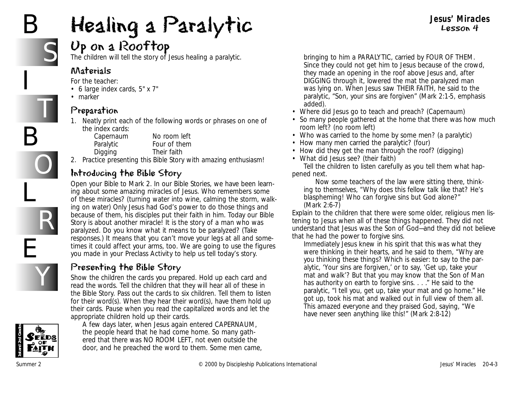# B

I

B

L

E

S

T

O

R

Y

# Healing a Paralytic

# Up on a Rooftop

The children will tell the story of Jesus healing a paralytic.

#### Materials

*For the teacher:*

- 6 large index cards, 5" x 7"
- marker

#### Preparation

1. Neatly print each of the following words or phrases on one of the index cards:

Capernaum No room left Paralytic **Four of them** Digging Their faith

2. Practice presenting this Bible Story with amazing enthusiasm!

# Introducing the Bible Story

Open your Bible to Mark 2. *In our Bible Stories, we have been learning about some amazing miracles of Jesus. Who remembers some of these miracles?* (turning water into wine, calming the storm, walking on water) *Only Jesus had God's power to do those things and because of them, his disciples put their faith in him. Today our Bible Story is about another miracle! It is the story of a man who was paralyzed. Do you know what it means to be paralyzed?* (Take responses.) *It means that you can't move your legs at all and sometimes it could affect your arms, too. We are going to use the figures you made in your Preclass Activity to help us tell today's story.*

#### Presenting the Bible Story

Show the children the cards you prepared. Hold up each card and read the words. Tell the children that they will hear all of these in the Bible Story. Pass out the cards to six children. Tell them to listen for their word(s). When they hear their word(s), have them hold up their cards. Pause when you read the capitalized words and let the appropriate children hold up their cards.



*A few days later, when Jesus again entered CAPERNAUM, the people heard that he had come home. So many gathered that there was NO ROOM LEFT, not even outside the door, and he preached the word to them. Some men came,*

*bringing to him a PARALYTIC, carried by FOUR OF THEM. Since they could not get him to Jesus because of the crowd, they made an opening in the roof above Jesus and, after DIGGING through it, lowered the mat the paralyzed man was lying on. When Jesus saw THEIR FAITH, he said to the paralytic, "Son, your sins are forgiven"* (Mark 2:1-5, emphasis added).

**Jesus' Miracles** Lesson 4

- *Where did Jesus go to teach and preach?* (Capernaum)
- *So many people gathered at the home that there was how much room left?* (no room left)
- *Who was carried to the home by some men?* (a paralytic)
- *How many men carried the paralytic?* (four)
- *How did they get the man through the roof?* (digging)
- *What did Jesus see?* (their faith)

Tell the children to listen carefully as you tell them what happened next.

*Now some teachers of the law were sitting there, thinking to themselves, "Why does this fellow talk like that? He's blaspheming! Who can forgive sins but God alone?"*  (Mark 2:6-7)

Explain to the children that there were some older, religious men listening to Jesus when all of these things happened. They did not understand that Jesus was the Son of God—and they did not believe that he had the power to forgive sins.

*Immediately Jesus knew in his spirit that this was what they were thinking in their hearts, and he said to them, "Why are you thinking these things? Which is easier: to say to the paralytic, 'Your sins are forgiven,' or to say, 'Get up, take your mat and walk'? But that you may know that the Son of Man has authority on earth to forgive sins. . . ." He said to the paralytic, "I tell you, get up, take your mat and go home." He got up, took his mat and walked out in full view of them all. This amazed everyone and they praised God, saying, "We have never seen anything like this!"* (Mark 2:8-12)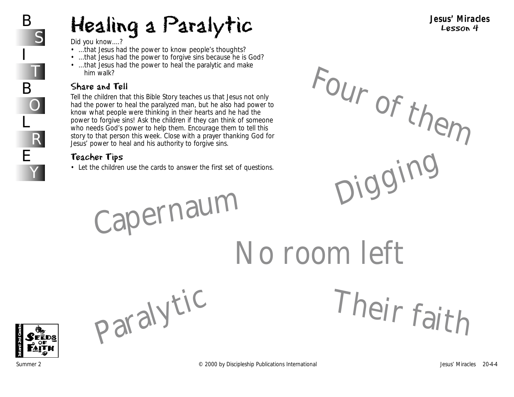*Did you know....?*

- *...that Jesus had the power to know people's thoughts?*
- *...that Jesus had the power to forgive sins because he is God?*
- *...that Jesus had the power to heal the paralytic and make him walk?*

#### Share and Tell

Tell the children that this Bible Story teaches us that Jesus not only had the power to heal the paralyzed man, but he also had power to know what people were thinking in their hearts and he had the power to forgive sins! Ask the children if they can think of someone who needs God's power to help them. Encourage them to tell this story to that person this week. Close with a prayer thanking God for Jesus' power to heal and his authority to forgive sins.

## Teacher Tips

• Let the children use the cards to answer the first set of questions.

Paralytic

**Jesus' Miracles** Lesson 4

Four of them Digging

Their faith

Capernau<sup>m</sup> No room left

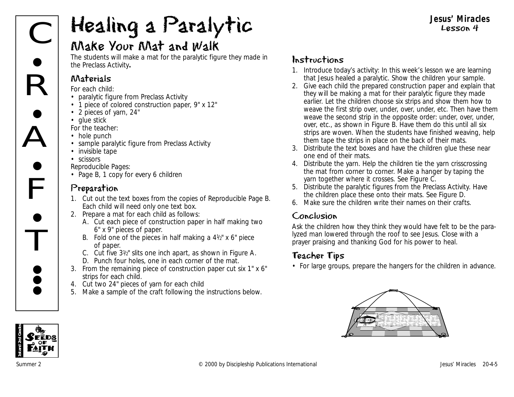# Make Your Mat and Walk

The students will make a mat for the paralytic figure they made in the Preclass Activity**.**

#### Materials

*For each child:*

- paralytic figure from Preclass Activity
- 1 piece of colored construction paper, 9" x 12"
- 2 pieces of yarn, 24"
- glue stick

*For the teacher:*

- hole punch
- sample paralytic figure from Preclass Activity
- invisible tape
- scissors

*Reproducible Pages:*

• Page B, 1 copy for every 6 children

## Preparation

- 1. Cut out the text boxes from the copies of Reproducible Page B. Each child will need only one text box.
- 2. Prepare a mat for each child as follows:
	- A. Cut each piece of construction paper in half making two 6" x 9" pieces of paper.
	- B. Fold one of the pieces in half making a  $4\frac{1}{2}$ " x 6" piece of paper.
	- C. Cut five 31/2" slits one inch apart, as shown in Figure A.
	- D. Punch four holes, one in each corner of the mat.
- 3. From the remaining piece of construction paper cut six 1" x 6" strips for each child.
- 4. Cut two 24" pieces of yarn for each child
- 5. Make a sample of the craft following the instructions below.

## Instructions

- 1. Introduce today's activity: *In this week's lesson we are learning that Jesus healed a paralytic.* Show the children your sample.
- 2. Give each child the prepared construction paper and explain that they will be making a mat for their paralytic figure they made earlier. Let the children choose six strips and show them how to weave the first strip over, under, over, under, etc. Then have them weave the second strip in the opposite order: under, over, under, over, etc., as shown in Figure B. Have them do this until all six strips are woven. When the students have finished weaving, help them tape the strips in place on the back of their mats.
- 3. Distribute the text boxes and have the children glue these near one end of their mats.
- 4. Distribute the yarn. Help the children tie the yarn crisscrossing the mat from corner to corner. Make a hanger by taping the yarn together where it crosses. See Figure C.
- 5. Distribute the paralytic figures from the Preclass Activity. Have the children place these onto their mats. See Figure D.
- 6. Make sure the children write their names on their crafts.

#### Conclusion

Ask the children how they think they would have felt to be the paralyzed man lowered through the roof to see Jesus. Close with a prayer praising and thanking God for his power to heal.

# Teacher Tips

• For large groups, prepare the hangers for the children in advance.



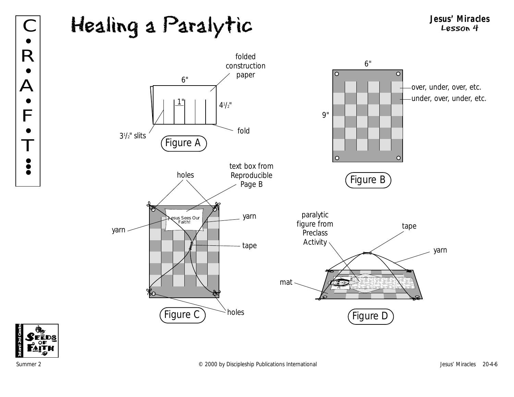# Healing a Paralytic **Jesus' Miracles** C Lesson 4



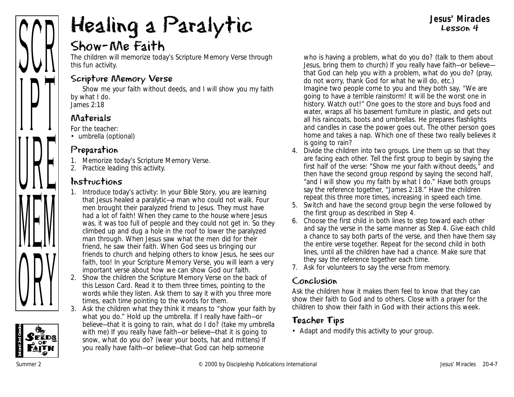# Show-Me Faith

The children will memorize today's Scripture Memory Verse through this fun activity.

#### Scripture Memory Verse

Show me your faith without deeds, and I will show you my faith by what I do. *James 2:18*

## Materials

*For the teacher:*

• umbrella (optional)

#### Preparation

- 1. Memorize today's Scripture Memory Verse.
- 2. Practice leading this activity.

#### Instructions

- 1. Introduce today's activity: *In your Bible Story, you are learning that Jesus healed a paralytic—a man who could not walk. Four men brought their paralyzed friend to Jesus. They must have had a lot of faith! When they came to the house where Jesus was, it was too full of people and they could not get in. So they climbed up and dug a hole in the roof to lower the paralyzed man through. When Jesus saw what the men did for their friend, he saw their faith. When God sees us bringing our friends to church and helping others to know Jesus, he sees our faith, too! In your Scripture Memory Verse, you will learn a very important verse about how we can show God our faith.*
- 2. Show the children the Scripture Memory Verse on the back of this Lesson Card. Read it to them three times, pointing to the words while they listen. Ask them to say it with you three more times, each time pointing to the words for them.
- 3. Ask the children what they think it means to "show your faith by what you do." Hold up the umbrella. *If I really have faith—or believe—that it is going to rain, what do I do?* (take my umbrella with me) *If you really have faith—or believe—that it is going to snow, what do you do?* (wear your boots, hat and mittens) *If you really have faith—or believe—that God can help someone*

*who is having a problem, what do you do?* (talk to them about Jesus, bring them to church) *If you really have faith—or believe that God can help you with a problem, what do you do?* (pray, do not worry, thank God for what he will do, etc.) *Imagine two people come to you and they both say, "We are going to have a terrible rainstorm! It will be the worst one in history. Watch out!" One goes to the store and buys food and water, wraps all his basement furniture in plastic, and gets out all his raincoats, boots and umbrellas. He prepares flashlights and candles in case the power goes out. The other person goes home and takes a nap. Which one of these two really believes it is going to rain?* 

**Jesus' Miracles** Lesson 4

- 4. Divide the children into two groups. Line them up so that they are facing each other. Tell the first group to begin by saying the first half of the verse: "Show me your faith without deeds," and then have the second group respond by saying the second half, "and I will show you my faith by what I do." Have both groups say the reference together, "James 2:18." Have the children repeat this three more times, increasing in speed each time.
- 5. Switch and have the second group begin the verse followed by the first group as described in Step 4.
- 6. Choose the first child in both lines to step toward each other and say the verse in the same manner as Step 4. Give each child a chance to say both parts of the verse, and then have them say the entire verse together. Repeat for the second child in both lines, until all the children have had a chance. Make sure that they say the reference together each time.
- 7. Ask for volunteers to say the verse from memory.

#### Conclusion

Ask the children how it makes them feel to know that they can show their faith to God and to others. Close with a prayer for the children to show their faith in God with their actions this week.

## Teacher Tips

• Adapt and modify this activity to your group.

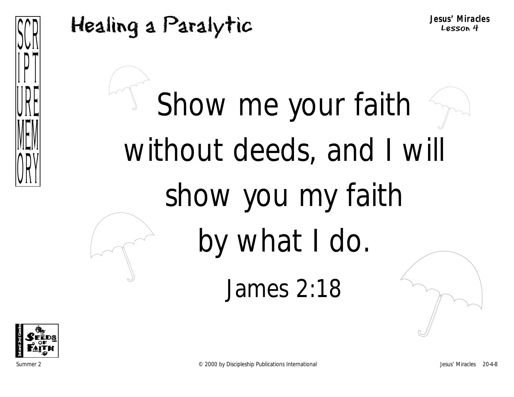



Show me your faith without deeds, and I will show you my faith by what I do. James 2:18

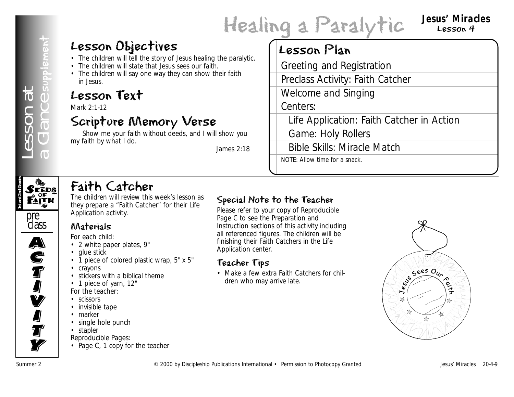# Healing a Paralytic **Jesus' Miracles**

# Lesson 4

# Lesson Objectives

- The children will tell the story of Jesus healing the paralytic.
- The children will state that Jesus sees our faith.
- The children will say one way they can show their faith in Jesus.

# Lesson Text

Mark 2:1-12

# Scripture Memory Verse

Show me your faith without deeds, and I will show you my faith by what I do.

*James 2:18*

# Lesson Plan

**Example 1**<br> **Summer 2 Conserver 2 Conserver 2 Conserver 2 Conserver 2**<br> **Example 2 Conserver 2 Conserver 2**<br> **Example 2 Conserver 2 Conserver 2**<br> **Example 2 Conserver 2 Conserver 2 Conserver 2 Con** Greeting and Registration Preclass Activity: Faith Catcher Welcome and Singing Centers: Life Application: Faith Catcher in Action Game: Holy Rollers Bible Skills: Miracle Match NOTE: Allow time for a snack.

# **1st and 2nd Grades**

# Faith Catcher

• 2 white paper plates, 9"

• stickers with a biblical theme

The children will review this week's lesson as they prepare a "Faith Catcher" for their Life Application activity.

• 1 piece of colored plastic wrap, 5" x 5"

# pre class  $\overline{\mathbf{A}}$ A)<br>C **S**<br>T I<br>I **V**

**I** 

**J**<br>T

**Ty** 

- *For the teacher:* • scissors
- invisible tape

Materials *For each child:*

• glue stick

• crayons

- marker
- single hole punch

• 1 piece of yarn, 12"

- stapler
- *Reproducible Pages:*
- Page C, 1 copy for the teacher

# Special Note to the Teacher

Please refer to your copy of Reproducible Page C to see the Preparation and Instruction sections of this activity including all referenced figures. The children will be finishing their Faith Catchers in the Life Application center.

# Teacher Tips

• Make a few extra Faith Catchers for children who may arrive late.

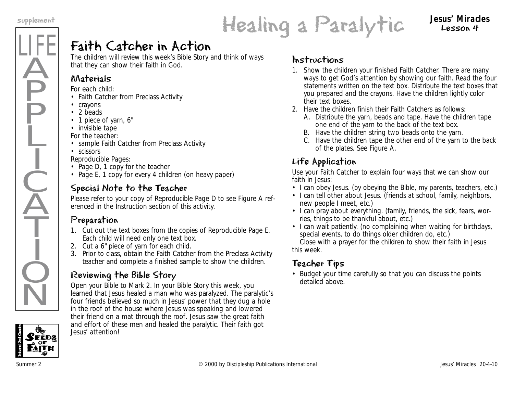LIFE

Ä

**P** 

P

Ļ

I

 $\frac{1}{2}$ 

 $\widecheck{\mathrm{A}}$ 

T

I

 $\dot{Q}$ 

 $\overline{\textsf{N}}$ 

# Healing a Paralytic supplement **Jesus' Miracles**

Lesson 4

# Faith Catcher in Action

The children will review this week's Bible Story and think of ways that they can show their faith in God.

# Materials

*For each child:*

- Faith Catcher from Preclass Activity
- crayons
- 2 beads
- 1 piece of yarn, 6"
- invisible tape

*For the teacher:*

- sample Faith Catcher from Preclass Activity
- scissors

*Reproducible Pages:*

- Page D, 1 copy for the teacher
- Page E, 1 copy for every 4 children (on heavy paper)

# Special Note to the Teacher

Please refer to your copy of Reproducible Page D to see Figure A referenced in the Instruction section of this activity.

# Preparation

- 1. Cut out the text boxes from the copies of Reproducible Page E. Each child will need only one text box.
- 2. Cut a 6" piece of yarn for each child.
- 3. Prior to class, obtain the Faith Catcher from the Preclass Activity teacher and complete a finished sample to show the children.

# Reviewing the Bible Story

Open your Bible to Mark 2. *In your Bible Story this week, you learned that Jesus healed a man who was paralyzed. The paralytic's four friends believed so much in Jesus' power that they dug a hole in the roof of the house where Jesus was speaking and lowered their friend on a mat through the roof. Jesus saw the great faith and effort of these men and healed the paralytic. Their faith got Jesus' attention!* 

## Instructions

- 1. Show the children your finished Faith Catcher. *There are many ways to get God's attention by showing our faith.* Read the four statements written on the text box. Distribute the text boxes that you prepared and the crayons. Have the children lightly color their text boxes.
- 2. Have the children finish their Faith Catchers as follows:
	- A. Distribute the yarn, beads and tape. Have the children tape one end of the yarn to the back of the text box.
	- B. Have the children string two beads onto the yarn.
	- C. Have the children tape the other end of the yarn to the back of the plates. See Figure A.

## Life Application

Use your Faith Catcher to explain four ways that we can show our faith in Jesus:

- I can obey Jesus. (by obeying the Bible, my parents, teachers, etc.)
- I can tell other about Jesus. (friends at school, family, neighbors, new people I meet, etc.)
- I can pray about everything. (family, friends, the sick, fears, worries, things to be thankful about, etc.)
- I can wait patiently. (no complaining when waiting for birthdays, special events, to do things older children do, etc.)

Close with a prayer for the children to show their faith in Jesus this week.

## Teacher Tips

• Budget your time carefully so that you can discuss the points detailed above.

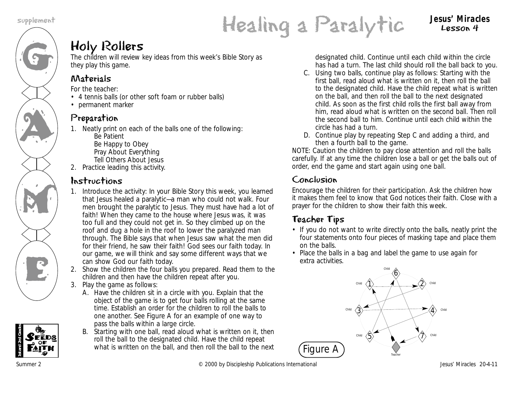G

AN A

M

K<br>E

# Healing a Paralytic supplement **Jesus' Miracles**

Lesson 4

# Holy Rollers

The children will review key ideas from this week's Bible Story as they play this game.

# Materials

*For the teacher:*

- 4 tennis balls (or other soft foam or rubber balls)
- permanent marker

# Preparation

- 1. Neatly print on each of the balls one of the following: Be Patient Be Happy to Obey Pray About Everything
	- Tell Others About Jesus
- 2. Practice leading this activity.

# Instructions

- 1. Introduce the activity: *In your Bible Story this week, you learned that Jesus healed a paralytic—a man who could not walk. Four men brought the paralytic to Jesus. They must have had a lot of faith! When they came to the house where Jesus was, it was too full and they could not get in. So they climbed up on the roof and dug a hole in the roof to lower the paralyzed man through. The Bible says that when Jesus saw what the men did for their friend, he saw their faith! God sees our faith today. In our game, we will think and say some different ways that we can show God our faith today.*
- 2. Show the children the four balls you prepared. Read them to the children and then have the children repeat after you.
- 3. Play the game as follows:
	- A. Have the children sit in a circle with you. Explain that the object of the game is to get four balls rolling at the same time. Establish an order for the children to roll the balls to one another. See Figure A for an example of one way to pass the balls within a large circle.
	- B. Starting with one ball, read aloud what is written on it, then roll the ball to the designated child. Have the child repeat what is written on the ball, and then roll the ball to the next

designated child. Continue until each child within the circle has had a turn. The last child should roll the ball back to you.

- C. Using two balls, continue play as follows: Starting with the first ball, read aloud what is written on it, then roll the ball to the designated child. Have the child repeat what is written on the ball, and then roll the ball to the next designated child. As soon as the first child rolls the first ball away from him, read aloud what is written on the second ball. Then roll the second ball to him. Continue until each child within the circle has had a turn.
- D. Continue play by repeating Step C and adding a third, and then a fourth ball to the game.

NOTE: Caution the children to pay close attention and roll the balls carefully. If at any time the children lose a ball or get the balls out of order, end the game and start again using one ball.

## Conclusion

Encourage the children for their participation. Ask the children how it makes them feel to know that God notices their faith. Close with a prayer for the children to show their faith this week.

# Teacher Tips

- If you do not want to write directly onto the balls, neatly print the four statements onto four pieces of masking tape and place them on the balls.
- Place the balls in a bag and label the game to use again for extra activities.



**1st and 2nd Grades**

Summer 2 **Example 2** COM Discipleship Publications International And Desus' Miracles 20-4-11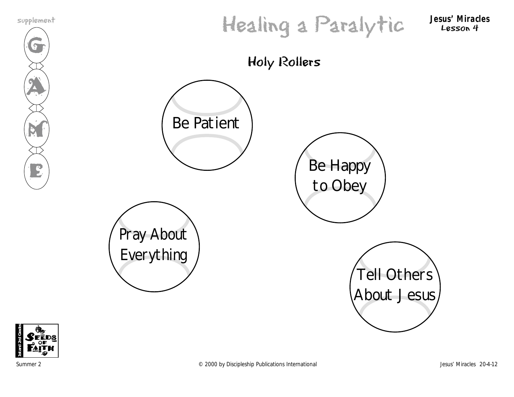$\mathcal{G}$ 

**AN** 

M

E



Lesson 4





Summer 2 **Example 2** COOO by Discipleship Publications International **COOO** Figure 2000 by Discipleship Publications International Jesus' Miracles 20-4-12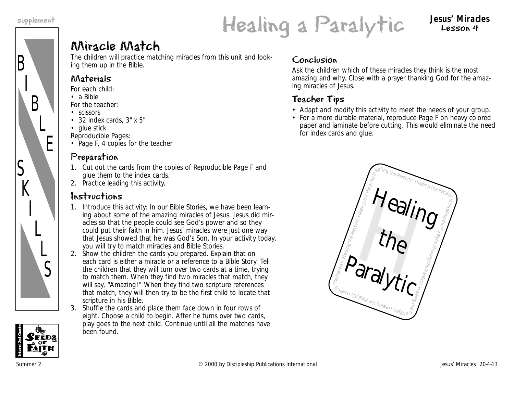B

S

 $K$ 

I

L

 $\overline{L}$ 

S

I

B

L

E



Lesson 4

# Miracle Match

The children will practice matching miracles from this unit and looking them up in the Bible.

#### Materials

- *For each child:*
- a Bible
- *For the teacher:*
- scissors
- 32 index cards, 3" x 5"
- glue stick
- *Reproducible Pages:*
- Page F, 4 copies for the teacher

## Preparation

- 1. Cut out the cards from the copies of Reproducible Page F and glue them to the index cards.
- 2. Practice leading this activity.

## Instructions

- 1. Introduce this activity: *In our Bible Stories, we have been learning about some of the amazing miracles of Jesus. Jesus did miracles so that the people could see God's power and so they could put their faith in him. Jesus' miracles were just one way that Jesus showed that he was God's Son. In your activity today, you will try to match miracles and Bible Stories.*
- 2. Show the children the cards you prepared. Explain that on each card is either a miracle or a reference to a Bible Story. Tell the children that they will turn over two cards at a time, trying to match them. When they find two miracles that match, they will say, "Amazing!" When they find two scripture references that match, they will then try to be the first child to locate that scripture in his Bible.
- 3. Shuffle the cards and place them face down in four rows of eight. Choose a child to begin. After he turns over two cards, play goes to the next child. Continue until all the matches have been found.

#### Conclusion

Ask the children which of these miracles they think is the most amazing and why. Close with a prayer thanking God for the amazing miracles of Jesus.

# Teacher Tips

- Adapt and modify this activity to meet the needs of your group.
- For a more durable material, reproduce Page F on heavy colored paper and laminate before cutting. This would eliminate the need for index cards and glue.



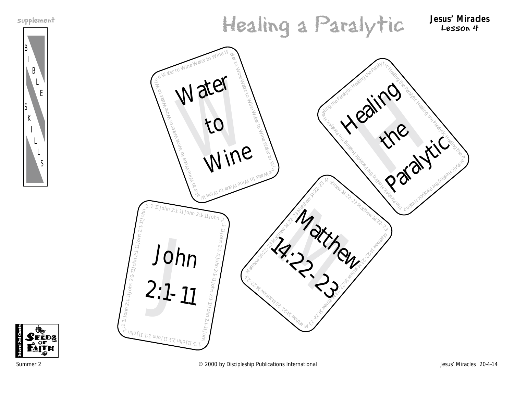



B

**1st and 2nd Grades**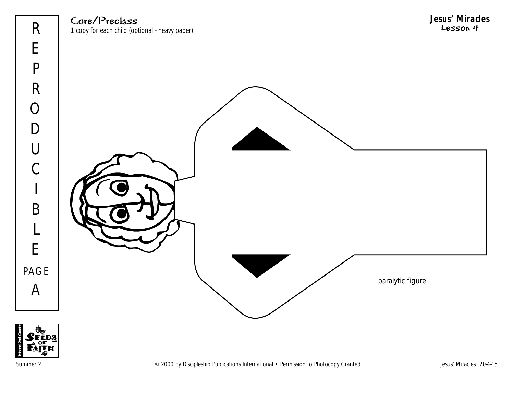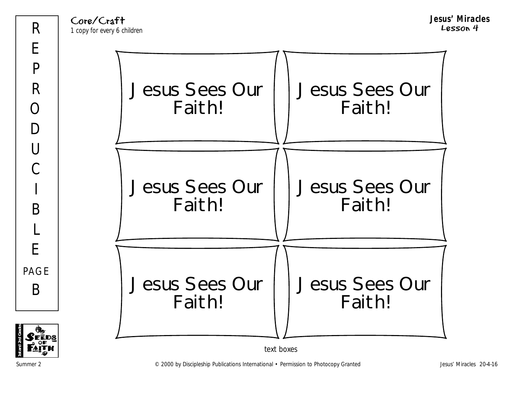Core/Craft 1 copy for every 6 children **Jesus' Miracles** Lesson 4



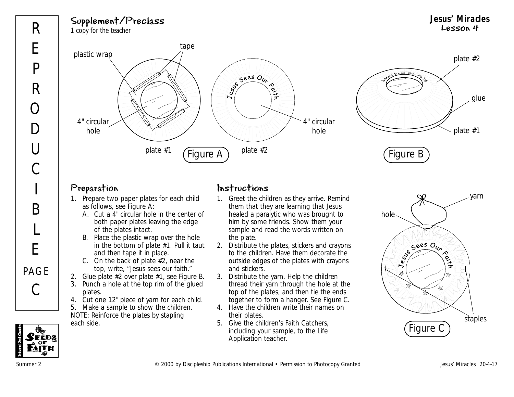Supplement/Preclass 1 copy for the teacher



#### Preparation

- 1. Prepare two paper plates for each child as follows, see Figure A:
	- A. Cut a 4" circular hole in the center of both paper plates leaving the edge of the plates intact.
	- B. Place the plastic wrap over the hole in the bottom of plate #1. Pull it taut and then tape it in place.
	- C. On the back of plate #2, near the top, write, "Jesus sees our faith."
- 2. Glue plate #2 over plate #1, see Figure B.
- 3. Punch a hole at the top rim of the glued plates.
- 4. Cut one 12" piece of yarn for each child.
- 5. Make a sample to show the children. NOTE: Reinforce the plates by stapling each side.

#### Instructions

- 1. Greet the children as they arrive. Remind them that they are learning that Jesus healed a paralytic who was brought to him by some friends. Show them your sample and read the words written on the plate.
- 2. Distribute the plates, stickers and crayons to the children. Have them decorate the outside edges of the plates with crayons and stickers.
- 3. Distribute the yarn. Help the children thread their yarn through the hole at the top of the plates, and then tie the ends together to form a hanger. See Figure C.
- 4. Have the children write their names on their plates.
- 5. Give the children's Faith Catchers, including your sample, to the Life Application teacher.



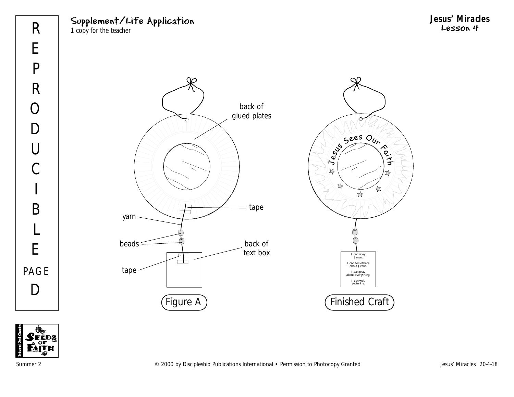# Supplement/Life Application

1 copy for the teacher





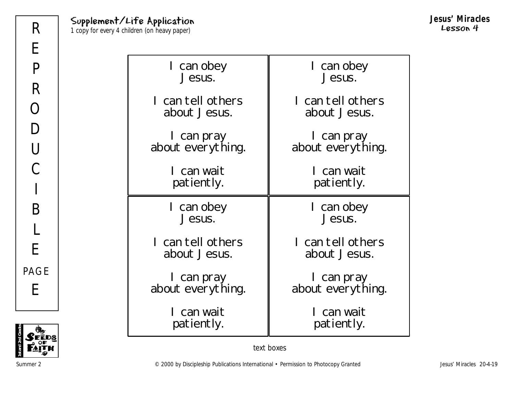| I can obey        | I can obey        |
|-------------------|-------------------|
| Jesus.            | Jesus.            |
| l can tell others | I can tell others |
| about Jesus.      | about Jesus.      |
| I can pray        | I can pray        |
| about everything. | about everything. |
| I can wait        | I can wait        |
| patiently.        | patiently.        |
|                   |                   |
| I can obey        | can obey          |
| Jesus.            | Jesus.            |
| I can tell others | I can tell others |
| about Jesus.      | about Jesus.      |
| I can pray        | I can pray        |
| about everything. | about everything. |



text boxes